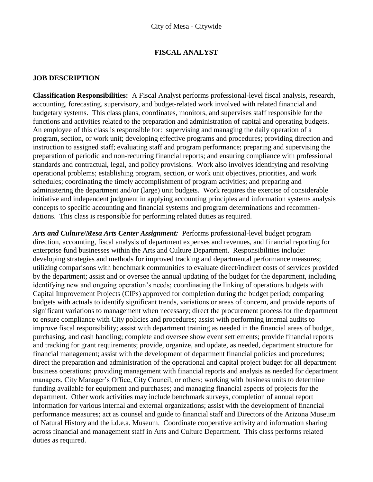### **FISCAL ANALYST**

#### **JOB DESCRIPTION**

**Classification Responsibilities:** A Fiscal Analyst performs professional-level fiscal analysis, research, accounting, forecasting, supervisory, and budget-related work involved with related financial and budgetary systems. This class plans, coordinates, monitors, and supervises staff responsible for the functions and activities related to the preparation and administration of capital and operating budgets. An employee of this class is responsible for: supervising and managing the daily operation of a program, section, or work unit; developing effective programs and procedures; providing direction and instruction to assigned staff; evaluating staff and program performance; preparing and supervising the preparation of periodic and non-recurring financial reports; and ensuring compliance with professional standards and contractual, legal, and policy provisions. Work also involves identifying and resolving operational problems; establishing program, section, or work unit objectives, priorities, and work schedules; coordinating the timely accomplishment of program activities; and preparing and administering the department and/or (large) unit budgets. Work requires the exercise of considerable initiative and independent judgment in applying accounting principles and information systems analysis concepts to specific accounting and financial systems and program determinations and recommendations. This class is responsible for performing related duties as required.

*Arts and Culture/Mesa Arts Center Assignment:* Performs professional-level budget program direction, accounting, fiscal analysis of department expenses and revenues, and financial reporting for enterprise fund businesses within the Arts and Culture Department. Responsibilities include: developing strategies and methods for improved tracking and departmental performance measures; utilizing comparisons with benchmark communities to evaluate direct/indirect costs of services provided by the department; assist and or oversee the annual updating of the budget for the department, including identifying new and ongoing operation's needs; coordinating the linking of operations budgets with Capital Improvement Projects (CIPs) approved for completion during the budget period; comparing budgets with actuals to identify significant trends, variations or areas of concern, and provide reports of significant variations to management when necessary; direct the procurement process for the department to ensure compliance with City policies and procedures; assist with performing internal audits to improve fiscal responsibility; assist with department training as needed in the financial areas of budget, purchasing, and cash handling; complete and oversee show event settlements; provide financial reports and tracking for grant requirements; provide, organize, and update, as needed, department structure for financial management; assist with the development of department financial policies and procedures; direct the preparation and administration of the operational and capital project budget for all department business operations; providing management with financial reports and analysis as needed for department managers, City Manager's Office, City Council, or others; working with business units to determine funding available for equipment and purchases; and managing financial aspects of projects for the department. Other work activities may include benchmark surveys, completion of annual report information for various internal and external organizations; assist with the development of financial performance measures; act as counsel and guide to financial staff and Directors of the Arizona Museum of Natural History and the i.d.e.a. Museum. Coordinate cooperative activity and information sharing across financial and management staff in Arts and Culture Department. This class performs related duties as required.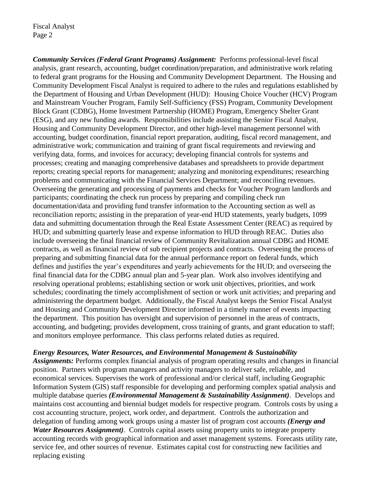*Community Services (Federal Grant Programs) Assignment:* Performs professional-level fiscal analysis, grant research, accounting, budget coordination/preparation, and administrative work relating to federal grant programs for the Housing and Community Development Department. The Housing and Community Development Fiscal Analyst is required to adhere to the rules and regulations established by the Department of Housing and Urban Development (HUD): Housing Choice Voucher (HCV) Program and Mainstream Voucher Program, Family Self-Sufficiency (FSS) Program, Community Development Block Grant (CDBG), Home Investment Partnership (HOME) Program, Emergency Shelter Grant (ESG), and any new funding awards. Responsibilities include assisting the Senior Fiscal Analyst, Housing and Community Development Director, and other high-level management personnel with accounting, budget coordination, financial report preparation, auditing, fiscal record management, and administrative work; communication and training of grant fiscal requirements and reviewing and verifying data, forms, and invoices for accuracy; developing financial controls for systems and processes; creating and managing comprehensive databases and spreadsheets to provide department reports; creating special reports for management; analyzing and monitoring expenditures; researching problems and communicating with the Financial Services Department; and reconciling revenues. Overseeing the generating and processing of payments and checks for Voucher Program landlords and participants; coordinating the check run process by preparing and compiling check run documentation/data and providing fund transfer information to the Accounting section as well as reconciliation reports; assisting in the preparation of year-end HUD statements, yearly budgets, 1099 data and submitting documentation through the Real Estate Assessment Center (REAC) as required by HUD; and submitting quarterly lease and expense information to HUD through REAC. Duties also include overseeing the final financial review of Community Revitalization annual CDBG and HOME contracts, as well as financial review of sub recipient projects and contracts. Overseeing the process of preparing and submitting financial data for the annual performance report on federal funds, which defines and justifies the year's expenditures and yearly achievements for the HUD; and overseeing the final financial data for the CDBG annual plan and 5-year plan. Work also involves identifying and resolving operational problems; establishing section or work unit objectives, priorities, and work schedules; coordinating the timely accomplishment of section or work unit activities; and preparing and administering the department budget. Additionally, the Fiscal Analyst keeps the Senior Fiscal Analyst and Housing and Community Development Director informed in a timely manner of events impacting the department. This position has oversight and supervision of personnel in the areas of contracts, accounting, and budgeting; provides development, cross training of grants, and grant education to staff; and monitors employee performance. This class performs related duties as required.

#### *Energy Resources, Water Resources, and Environmental Management & Sustainability*

*Assignments:* Performs complex financial analysis of program operating results and changes in financial position. Partners with program managers and activity managers to deliver safe, reliable, and economical services. Supervises the work of professional and/or clerical staff, including Geographic Information System (GIS) staff responsible for developing and performing complex spatial analysis and multiple database queries *(Environmental Management & Sustainability Assignment)*. Develops and maintains cost accounting and biennial budget models for respective program. Controls costs by using a cost accounting structure, project, work order, and department. Controls the authorization and delegation of funding among work groups using a master list of program cost accounts *(Energy and Water Resources Assignment)*. Controls capital assets using property units to integrate property accounting records with geographical information and asset management systems. Forecasts utility rate, service fee, and other sources of revenue. Estimates capital cost for constructing new facilities and replacing existing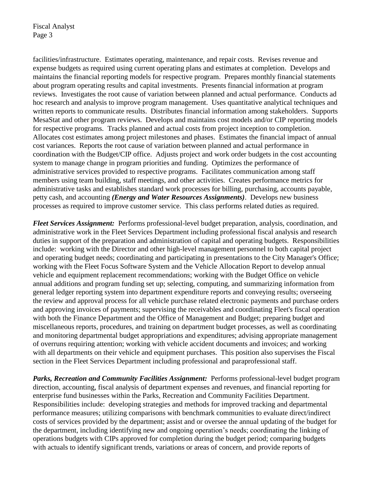facilities/infrastructure. Estimates operating, maintenance, and repair costs. Revises revenue and expense budgets as required using current operating plans and estimates at completion. Develops and maintains the financial reporting models for respective program. Prepares monthly financial statements about program operating results and capital investments. Presents financial information at program reviews. Investigates the root cause of variation between planned and actual performance. Conducts ad hoc research and analysis to improve program management. Uses quantitative analytical techniques and written reports to communicate results. Distributes financial information among stakeholders. Supports MesaStat and other program reviews. Develops and maintains cost models and/or CIP reporting models for respective programs. Tracks planned and actual costs from project inception to completion. Allocates cost estimates among project milestones and phases. Estimates the financial impact of annual cost variances. Reports the root cause of variation between planned and actual performance in coordination with the Budget/CIP office. Adjusts project and work order budgets in the cost accounting system to manage change in program priorities and funding. Optimizes the performance of administrative services provided to respective programs. Facilitates communication among staff members using team building, staff meetings, and other activities. Creates performance metrics for administrative tasks and establishes standard work processes for billing, purchasing, accounts payable, petty cash, and accounting *(Energy and Water Resources Assignments)*. Develops new business processes as required to improve customer service. This class performs related duties as required.

*Fleet Services Assignment:* Performs professional-level budget preparation, analysis, coordination, and administrative work in the Fleet Services Department including professional fiscal analysis and research duties in support of the preparation and administration of capital and operating budgets. Responsibilities include: working with the Director and other high-level management personnel to both capital project and operating budget needs; coordinating and participating in presentations to the City Manager's Office; working with the Fleet Focus Software System and the Vehicle Allocation Report to develop annual vehicle and equipment replacement recommendations; working with the Budget Office on vehicle annual additions and program funding set up; selecting, computing, and summarizing information from general ledger reporting system into department expenditure reports and conveying results; overseeing the review and approval process for all vehicle purchase related electronic payments and purchase orders and approving invoices of payments; supervising the receivables and coordinating Fleet's fiscal operation with both the Finance Department and the Office of Management and Budget; preparing budget and miscellaneous reports, procedures, and training on department budget processes, as well as coordinating and monitoring departmental budget appropriations and expenditures; advising appropriate management of overruns requiring attention; working with vehicle accident documents and invoices; and working with all departments on their vehicle and equipment purchases. This position also supervises the Fiscal section in the Fleet Services Department including professional and paraprofessional staff.

*Parks, Recreation and Community Facilities Assignment:* Performs professional-level budget program direction, accounting, fiscal analysis of department expenses and revenues, and financial reporting for enterprise fund businesses within the Parks, Recreation and Community Facilities Department. Responsibilities include: developing strategies and methods for improved tracking and departmental performance measures; utilizing comparisons with benchmark communities to evaluate direct/indirect costs of services provided by the department; assist and or oversee the annual updating of the budget for the department, including identifying new and ongoing operation's needs; coordinating the linking of operations budgets with CIPs approved for completion during the budget period; comparing budgets with actuals to identify significant trends, variations or areas of concern, and provide reports of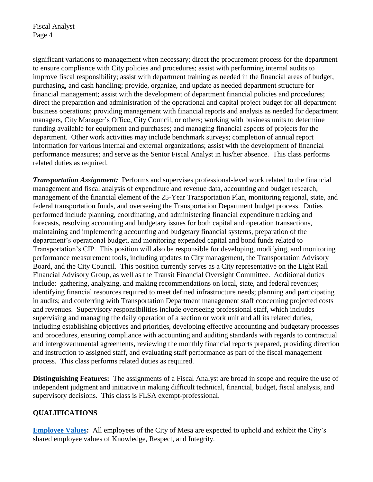significant variations to management when necessary; direct the procurement process for the department to ensure compliance with City policies and procedures; assist with performing internal audits to improve fiscal responsibility; assist with department training as needed in the financial areas of budget, purchasing, and cash handling; provide, organize, and update as needed department structure for financial management; assist with the development of department financial policies and procedures; direct the preparation and administration of the operational and capital project budget for all department business operations; providing management with financial reports and analysis as needed for department managers, City Manager's Office, City Council, or others; working with business units to determine funding available for equipment and purchases; and managing financial aspects of projects for the department. Other work activities may include benchmark surveys; completion of annual report information for various internal and external organizations; assist with the development of financial performance measures; and serve as the Senior Fiscal Analyst in his/her absence. This class performs related duties as required.

*Transportation Assignment:* Performs and supervises professional-level work related to the financial management and fiscal analysis of expenditure and revenue data, accounting and budget research, management of the financial element of the 25-Year Transportation Plan, monitoring regional, state, and federal transportation funds, and overseeing the Transportation Department budget process. Duties performed include planning, coordinating, and administering financial expenditure tracking and forecasts, resolving accounting and budgetary issues for both capital and operation transactions, maintaining and implementing accounting and budgetary financial systems, preparation of the department's operational budget, and monitoring expended capital and bond funds related to Transportation's CIP. This position will also be responsible for developing, modifying, and monitoring performance measurement tools, including updates to City management, the Transportation Advisory Board, and the City Council. This position currently serves as a City representative on the Light Rail Financial Advisory Group, as well as the Transit Financial Oversight Committee. Additional duties include: gathering, analyzing, and making recommendations on local, state, and federal revenues; identifying financial resources required to meet defined infrastructure needs; planning and participating in audits; and conferring with Transportation Department management staff concerning projected costs and revenues. Supervisory responsibilities include overseeing professional staff, which includes supervising and managing the daily operation of a section or work unit and all its related duties, including establishing objectives and priorities, developing effective accounting and budgetary processes and procedures, ensuring compliance with accounting and auditing standards with regards to contractual and intergovernmental agreements, reviewing the monthly financial reports prepared, providing direction and instruction to assigned staff, and evaluating staff performance as part of the fiscal management process. This class performs related duties as required.

**Distinguishing Features:** The assignments of a Fiscal Analyst are broad in scope and require the use of independent judgment and initiative in making difficult technical, financial, budget, fiscal analysis, and supervisory decisions. This class is FLSA exempt-professional.

# **QUALIFICATIONS**

**[Employee Values:](https://www.mesaaz.gov/Home/ShowDocument?id=14147)** All employees of the City of Mesa are expected to uphold and exhibit the City's shared employee values of Knowledge, Respect, and Integrity.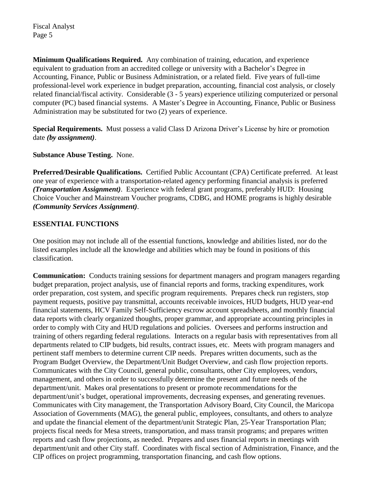**Minimum Qualifications Required.** Any combination of training, education, and experience equivalent to graduation from an accredited college or university with a Bachelor's Degree in Accounting, Finance, Public or Business Administration, or a related field. Five years of full-time professional-level work experience in budget preparation, accounting, financial cost analysis, or closely related financial/fiscal activity. Considerable (3 - 5 years) experience utilizing computerized or personal computer (PC) based financial systems. A Master's Degree in Accounting, Finance, Public or Business Administration may be substituted for two (2) years of experience.

**Special Requirements.** Must possess a valid Class D Arizona Driver's License by hire or promotion date *(by assignment)*.

### **Substance Abuse Testing.** None.

**Preferred/Desirable Qualifications.** Certified Public Accountant (CPA) Certificate preferred. At least one year of experience with a transportation-related agency performing financial analysis is preferred *(Transportation Assignment)*. Experience with federal grant programs, preferably HUD: Housing Choice Voucher and Mainstream Voucher programs, CDBG, and HOME programs is highly desirable *(Community Services Assignment)*.

### **ESSENTIAL FUNCTIONS**

One position may not include all of the essential functions, knowledge and abilities listed, nor do the listed examples include all the knowledge and abilities which may be found in positions of this classification.

**Communication:** Conducts training sessions for department managers and program managers regarding budget preparation, project analysis, use of financial reports and forms, tracking expenditures, work order preparation, cost system, and specific program requirements. Prepares check run registers, stop payment requests, positive pay transmittal, accounts receivable invoices, HUD budgets, HUD year-end financial statements, HCV Family Self-Sufficiency escrow account spreadsheets, and monthly financial data reports with clearly organized thoughts, proper grammar, and appropriate accounting principles in order to comply with City and HUD regulations and policies. Oversees and performs instruction and training of others regarding federal regulations. Interacts on a regular basis with representatives from all departments related to CIP budgets, bid results, contract issues, etc. Meets with program managers and pertinent staff members to determine current CIP needs. Prepares written documents, such as the Program Budget Overview, the Department/Unit Budget Overview, and cash flow projection reports. Communicates with the City Council, general public, consultants, other City employees, vendors, management, and others in order to successfully determine the present and future needs of the department/unit. Makes oral presentations to present or promote recommendations for the department/unit's budget, operational improvements, decreasing expenses, and generating revenues. Communicates with City management, the Transportation Advisory Board, City Council, the Maricopa Association of Governments (MAG), the general public, employees, consultants, and others to analyze and update the financial element of the department/unit Strategic Plan, 25-Year Transportation Plan; projects fiscal needs for Mesa streets, transportation, and mass transit programs; and prepares written reports and cash flow projections, as needed. Prepares and uses financial reports in meetings with department/unit and other City staff. Coordinates with fiscal section of Administration, Finance, and the CIP offices on project programming, transportation financing, and cash flow options.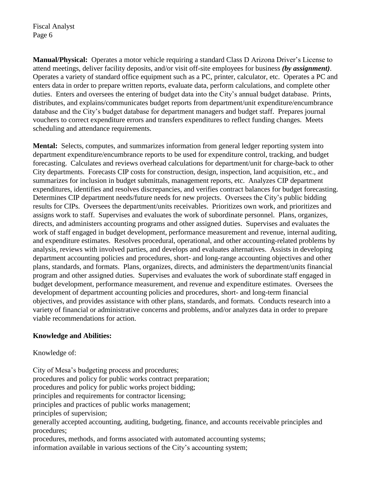**Manual/Physical:** Operates a motor vehicle requiring a standard Class D Arizona Driver's License to attend meetings, deliver facility deposits, and/or visit off-site employees for business *(by assignment)*. Operates a variety of standard office equipment such as a PC, printer, calculator, etc. Operates a PC and enters data in order to prepare written reports, evaluate data, perform calculations, and complete other duties. Enters and oversees the entering of budget data into the City's annual budget database. Prints, distributes, and explains/communicates budget reports from department/unit expenditure/encumbrance database and the City's budget database for department managers and budget staff. Prepares journal vouchers to correct expenditure errors and transfers expenditures to reflect funding changes. Meets scheduling and attendance requirements.

**Mental:** Selects, computes, and summarizes information from general ledger reporting system into department expenditure/encumbrance reports to be used for expenditure control, tracking, and budget forecasting. Calculates and reviews overhead calculations for department/unit for charge-back to other City departments. Forecasts CIP costs for construction, design, inspection, land acquisition, etc., and summarizes for inclusion in budget submittals, management reports, etc. Analyzes CIP department expenditures, identifies and resolves discrepancies, and verifies contract balances for budget forecasting. Determines CIP department needs/future needs for new projects. Oversees the City's public bidding results for CIPs. Oversees the department/units receivables. Prioritizes own work, and prioritizes and assigns work to staff. Supervises and evaluates the work of subordinate personnel. Plans, organizes, directs, and administers accounting programs and other assigned duties. Supervises and evaluates the work of staff engaged in budget development, performance measurement and revenue, internal auditing, and expenditure estimates. Resolves procedural, operational, and other accounting-related problems by analysis, reviews with involved parties, and develops and evaluates alternatives. Assists in developing department accounting policies and procedures, short- and long-range accounting objectives and other plans, standards, and formats. Plans, organizes, directs, and administers the department/units financial program and other assigned duties. Supervises and evaluates the work of subordinate staff engaged in budget development, performance measurement, and revenue and expenditure estimates. Oversees the development of department accounting policies and procedures, short- and long-term financial objectives, and provides assistance with other plans, standards, and formats. Conducts research into a variety of financial or administrative concerns and problems, and/or analyzes data in order to prepare viable recommendations for action.

#### **Knowledge and Abilities:**

Knowledge of:

City of Mesa's budgeting process and procedures; procedures and policy for public works contract preparation; procedures and policy for public works project bidding; principles and requirements for contractor licensing; principles and practices of public works management; principles of supervision; generally accepted accounting, auditing, budgeting, finance, and accounts receivable principles and procedures; procedures, methods, and forms associated with automated accounting systems;

information available in various sections of the City's accounting system;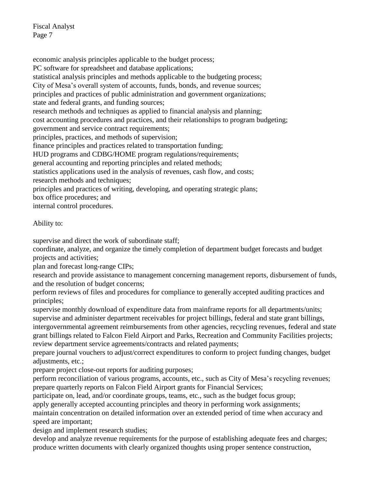economic analysis principles applicable to the budget process; PC software for spreadsheet and database applications; statistical analysis principles and methods applicable to the budgeting process; City of Mesa's overall system of accounts, funds, bonds, and revenue sources; principles and practices of public administration and government organizations; state and federal grants, and funding sources; research methods and techniques as applied to financial analysis and planning; cost accounting procedures and practices, and their relationships to program budgeting; government and service contract requirements; principles, practices, and methods of supervision; finance principles and practices related to transportation funding; HUD programs and CDBG/HOME program regulations/requirements; general accounting and reporting principles and related methods; statistics applications used in the analysis of revenues, cash flow, and costs; research methods and techniques; principles and practices of writing, developing, and operating strategic plans; box office procedures; and internal control procedures.

## Ability to:

supervise and direct the work of subordinate staff;

coordinate, analyze, and organize the timely completion of department budget forecasts and budget projects and activities;

plan and forecast long-range CIPs;

research and provide assistance to management concerning management reports, disbursement of funds, and the resolution of budget concerns;

perform reviews of files and procedures for compliance to generally accepted auditing practices and principles;

supervise monthly download of expenditure data from mainframe reports for all departments/units; supervise and administer department receivables for project billings, federal and state grant billings, intergovernmental agreement reimbursements from other agencies, recycling revenues, federal and state grant billings related to Falcon Field Airport and Parks, Recreation and Community Facilities projects; review department service agreements/contracts and related payments;

prepare journal vouchers to adjust/correct expenditures to conform to project funding changes, budget adjustments, etc.;

prepare project close-out reports for auditing purposes;

perform reconciliation of various programs, accounts, etc., such as City of Mesa's recycling revenues; prepare quarterly reports on Falcon Field Airport grants for Financial Services;

participate on, lead, and/or coordinate groups, teams, etc., such as the budget focus group;

apply generally accepted accounting principles and theory in performing work assignments;

maintain concentration on detailed information over an extended period of time when accuracy and speed are important;

design and implement research studies;

develop and analyze revenue requirements for the purpose of establishing adequate fees and charges; produce written documents with clearly organized thoughts using proper sentence construction,